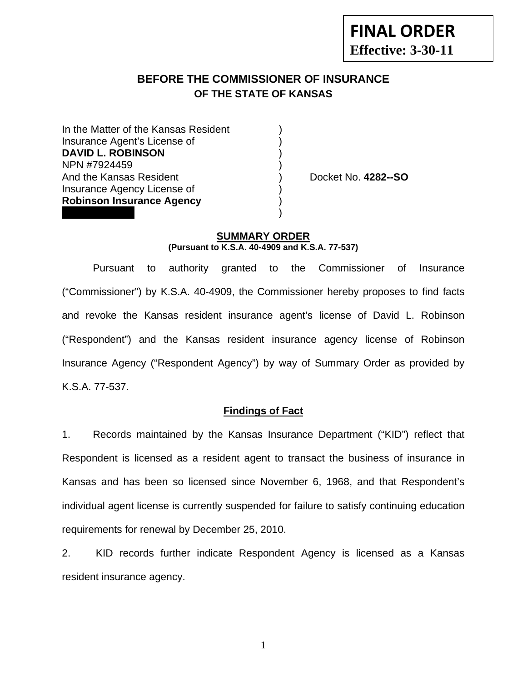# **BEFORE THE COMMISSIONER OF INSURANCE OF THE STATE OF KANSAS**

In the Matter of the Kansas Resident Insurance Agent's License of ) **DAVID L. ROBINSON** ) NPN #7924459 ) And the Kansas Resident ) Docket No. **4282--SO** Insurance Agency License of ) **Robinson Insurance Agency** )  $\frac{1}{3}$ 

#### **SUMMARY ORDER (Pursuant to K.S.A. 40-4909 and K.S.A. 77-537)**

 Pursuant to authority granted to the Commissioner of Insurance ("Commissioner") by K.S.A. 40-4909, the Commissioner hereby proposes to find facts and revoke the Kansas resident insurance agent's license of David L. Robinson ("Respondent") and the Kansas resident insurance agency license of Robinson Insurance Agency ("Respondent Agency") by way of Summary Order as provided by K.S.A. 77-537.

#### **Findings of Fact**

1. Records maintained by the Kansas Insurance Department ("KID") reflect that Respondent is licensed as a resident agent to transact the business of insurance in Kansas and has been so licensed since November 6, 1968, and that Respondent's individual agent license is currently suspended for failure to satisfy continuing education requirements for renewal by December 25, 2010.

2. KID records further indicate Respondent Agency is licensed as a Kansas resident insurance agency.

1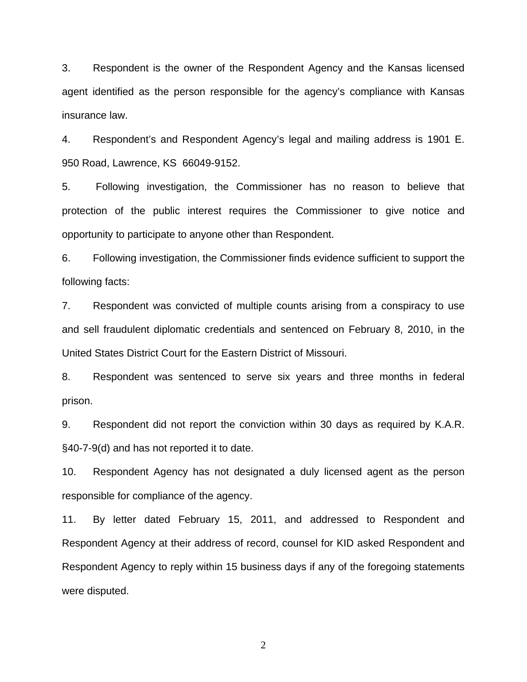3. Respondent is the owner of the Respondent Agency and the Kansas licensed agent identified as the person responsible for the agency's compliance with Kansas insurance law.

4. Respondent's and Respondent Agency's legal and mailing address is 1901 E. 950 Road, Lawrence, KS 66049-9152.

5. Following investigation, the Commissioner has no reason to believe that protection of the public interest requires the Commissioner to give notice and opportunity to participate to anyone other than Respondent.

6. Following investigation, the Commissioner finds evidence sufficient to support the following facts:

7. Respondent was convicted of multiple counts arising from a conspiracy to use and sell fraudulent diplomatic credentials and sentenced on February 8, 2010, in the United States District Court for the Eastern District of Missouri.

8. Respondent was sentenced to serve six years and three months in federal prison.

9. Respondent did not report the conviction within 30 days as required by K.A.R. §40-7-9(d) and has not reported it to date.

10. Respondent Agency has not designated a duly licensed agent as the person responsible for compliance of the agency.

11. By letter dated February 15, 2011, and addressed to Respondent and Respondent Agency at their address of record, counsel for KID asked Respondent and Respondent Agency to reply within 15 business days if any of the foregoing statements were disputed.

2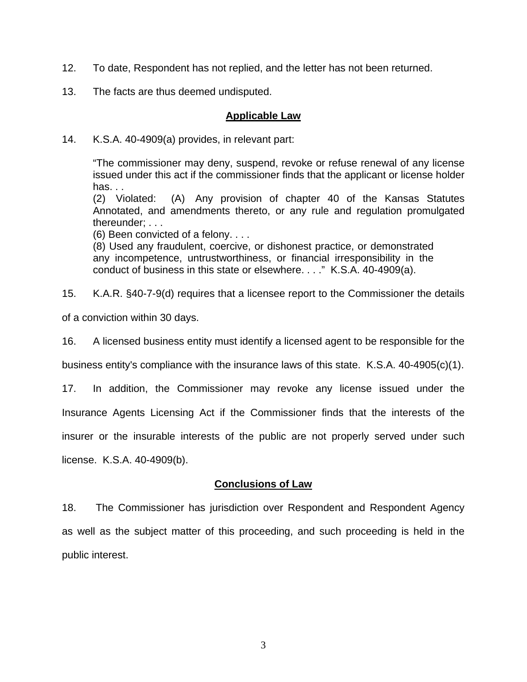- 12. To date, Respondent has not replied, and the letter has not been returned.
- 13. The facts are thus deemed undisputed.

### **Applicable Law**

14. K.S.A. 40-4909(a) provides, in relevant part:

"The commissioner may deny, suspend, revoke or refuse renewal of any license issued under this act if the commissioner finds that the applicant or license holder has. . .

(2) Violated: (A) Any provision of chapter 40 of the Kansas Statutes Annotated, and amendments thereto, or any rule and regulation promulgated thereunder; . . .

(6) Been convicted of a felony. . . .

(8) Used any fraudulent, coercive, or dishonest practice, or demonstrated any incompetence, untrustworthiness, or financial irresponsibility in the conduct of business in this state or elsewhere. . . ." K.S.A. 40-4909(a).

15. K.A.R. §40-7-9(d) requires that a licensee report to the Commissioner the details

of a conviction within 30 days.

16. A licensed business entity must identify a licensed agent to be responsible for the

business entity's compliance with the insurance laws of this state. K.S.A. 40-4905(c)(1).

17. In addition, the Commissioner may revoke any license issued under the Insurance Agents Licensing Act if the Commissioner finds that the interests of the insurer or the insurable interests of the public are not properly served under such license. K.S.A. 40-4909(b).

### **Conclusions of Law**

18. The Commissioner has jurisdiction over Respondent and Respondent Agency as well as the subject matter of this proceeding, and such proceeding is held in the public interest.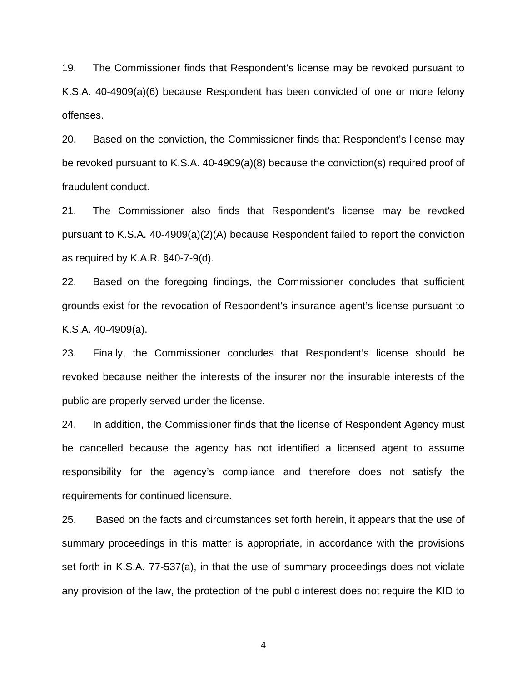19. The Commissioner finds that Respondent's license may be revoked pursuant to K.S.A. 40-4909(a)(6) because Respondent has been convicted of one or more felony offenses.

20. Based on the conviction, the Commissioner finds that Respondent's license may be revoked pursuant to K.S.A. 40-4909(a)(8) because the conviction(s) required proof of fraudulent conduct.

21. The Commissioner also finds that Respondent's license may be revoked pursuant to K.S.A. 40-4909(a)(2)(A) because Respondent failed to report the conviction as required by K.A.R. §40-7-9(d).

22. Based on the foregoing findings, the Commissioner concludes that sufficient grounds exist for the revocation of Respondent's insurance agent's license pursuant to K.S.A. 40-4909(a).

23. Finally, the Commissioner concludes that Respondent's license should be revoked because neither the interests of the insurer nor the insurable interests of the public are properly served under the license.

24. In addition, the Commissioner finds that the license of Respondent Agency must be cancelled because the agency has not identified a licensed agent to assume responsibility for the agency's compliance and therefore does not satisfy the requirements for continued licensure.

25. Based on the facts and circumstances set forth herein, it appears that the use of summary proceedings in this matter is appropriate, in accordance with the provisions set forth in K.S.A. 77-537(a), in that the use of summary proceedings does not violate any provision of the law, the protection of the public interest does not require the KID to

4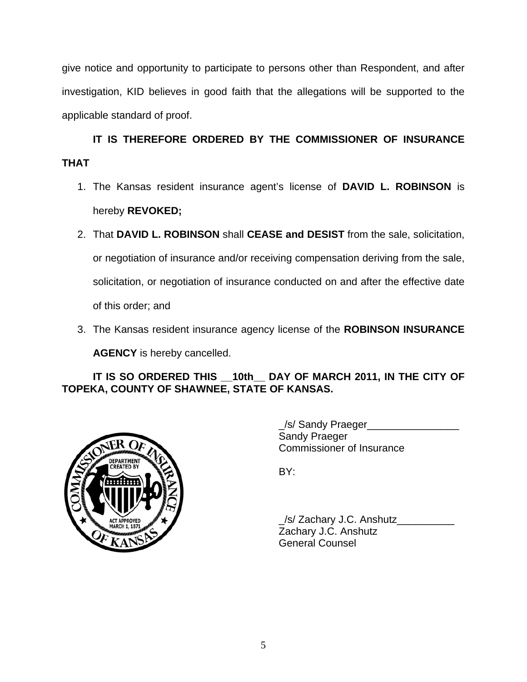give notice and opportunity to participate to persons other than Respondent, and after investigation, KID believes in good faith that the allegations will be supported to the applicable standard of proof.

 **IT IS THEREFORE ORDERED BY THE COMMISSIONER OF INSURANCE THAT** 

- 1. The Kansas resident insurance agent's license of **DAVID L. ROBINSON** is hereby **REVOKED;**
- 2. That **DAVID L. ROBINSON** shall **CEASE and DESIST** from the sale, solicitation, or negotiation of insurance and/or receiving compensation deriving from the sale, solicitation, or negotiation of insurance conducted on and after the effective date of this order; and
- 3. The Kansas resident insurance agency license of the **ROBINSON INSURANCE AGENCY** is hereby cancelled.

## **IT IS SO ORDERED THIS \_\_10th\_\_ DAY OF MARCH 2011, IN THE CITY OF TOPEKA, COUNTY OF SHAWNEE, STATE OF KANSAS.**



 \_/s/ Sandy Praeger\_\_\_\_\_\_\_\_\_\_\_\_\_\_\_\_ Sandy Praeger Commissioner of Insurance

 \_/s/ Zachary J.C. Anshutz\_\_\_\_\_\_\_\_\_\_ Zachary J.C. Anshutz General Counsel